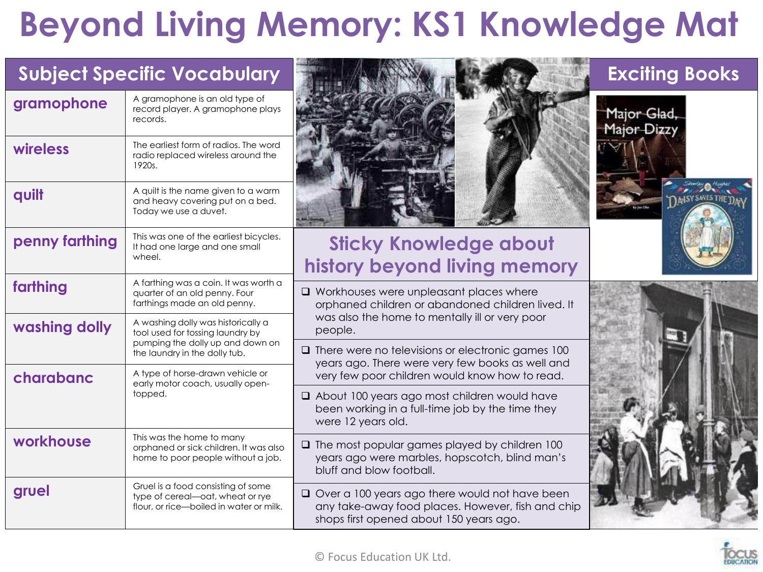### **Beyond Living Memory: KS1 Knowledge Mat**

|                | <b>Subject Specific Vocabulary</b>                                                                                |                                                                                                                                                | <b>Exciting Books</b>      |
|----------------|-------------------------------------------------------------------------------------------------------------------|------------------------------------------------------------------------------------------------------------------------------------------------|----------------------------|
| gramophone     | A gramophone is an old type of<br>record player. A gramophone plays<br>records.                                   |                                                                                                                                                | Major Glad,<br>Major Dizzy |
| wireless       | The earliest form of radios. The word<br>radio replaced wireless around the<br>1920s.                             |                                                                                                                                                |                            |
| quilt          | A quilt is the name given to a warm<br>and heavy covering put on a bed.<br>Today we use a duvet.                  |                                                                                                                                                | <b>INISY SANES THE DAN</b> |
| penny farthing | This was one of the earliest bicycles.<br>It had one large and one small<br>wheel.                                | <b>Sticky Knowledge about</b><br>history beyond living memory                                                                                  |                            |
| farthing       | A farthing was a coin. It was worth a<br>quarter of an old penny. Four<br>farthings made an old penny.            | $\Box$ Workhouses were unpleasant places where<br>orphaned children or abandoned children lived. It                                            |                            |
| washing dolly  | A washing dolly was historically a<br>tool used for tossing laundry by                                            | was also the home to mentally ill or very poor<br>people.                                                                                      |                            |
|                | pumping the dolly up and down on<br>the laundry in the dolly tub.                                                 | $\Box$ There were no televisions or electronic games 100<br>years ago. There were very few books as well and                                   |                            |
| charabanc      | A type of horse-drawn vehicle or<br>early motor coach, usually open-                                              | very few poor children would know how to read.                                                                                                 |                            |
|                | topped.                                                                                                           | About 100 years ago most children would have<br>been working in a full-time job by the time they<br>were 12 years old.                         |                            |
| workhouse      | This was the home to many<br>orphaned or sick children. It was also<br>home to poor people without a job.         | $\Box$ The most popular games played by children 100<br>years ago were marbles, hopscotch, blind man's<br>bluff and blow football.             |                            |
| gruel          | Gruel is a food consisting of some<br>type of cereal-oat, wheat or rye<br>flour, or rice-boiled in water or milk. | Over a 100 years ago there would not have been<br>any take-away food places. However, fish and chip<br>shops first opened about 150 years ago. |                            |

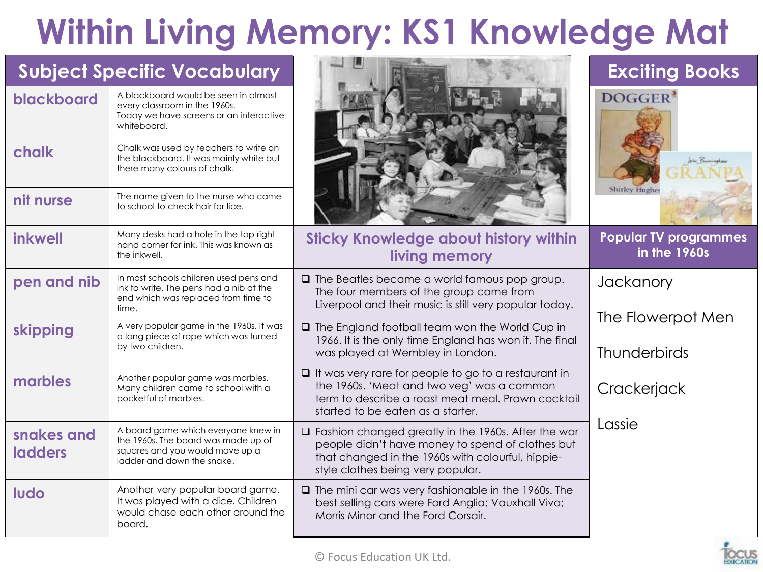# **Within Living Memory: KS1 Knowledge Mat**

| <b>Subject Specific Vocabulary</b> |                                                                                                                                             |                                                                                                                                                                                                          | <b>Exciting Books</b>                        |
|------------------------------------|---------------------------------------------------------------------------------------------------------------------------------------------|----------------------------------------------------------------------------------------------------------------------------------------------------------------------------------------------------------|----------------------------------------------|
| blackboard                         | A blackboard would be seen in almost<br>every classroom in the 1960s.<br>Today we have screens or an interactive<br>whiteboard.             |                                                                                                                                                                                                          | DOGGER'                                      |
| chalk                              | Chalk was used by teachers to write on<br>the blackboard. It was mainly white but<br>there many colours of chalk.                           |                                                                                                                                                                                                          |                                              |
| nit nurse                          | The name given to the nurse who came<br>to school to check hair for lice.                                                                   |                                                                                                                                                                                                          | <b>Shirley Hughe</b>                         |
| inkwell                            | Many desks had a hole in the top right<br>hand corner for ink. This was known as<br>the inkwell.                                            | <b>Sticky Knowledge about history within</b><br>living memory                                                                                                                                            | <b>Popular TV programmes</b><br>in the 1960s |
| pen and nib                        | In most schools children used pens and<br>ink to write. The pens had a nib at the<br>end which was replaced from time to<br>time.           | $\Box$ The Beatles became a world famous pop group.<br>The four members of the group came from<br>Liverpool and their music is still very popular today.                                                 | Jackanory                                    |
| skipping                           | A very popular game in the 1960s. It was<br>a long piece of rope which was turned<br>by two children.                                       | $\Box$ The England football team won the World Cup in<br>1966. It is the only time England has won it. The final<br>was played at Wembley in London.                                                     | The Flowerpot Men<br><b>Thunderbirds</b>     |
| marbles                            | Another popular game was marbles.<br>Many children came to school with a<br>pocketful of marbles.                                           | $\Box$ It was very rare for people to go to a restaurant in<br>the 1960s. 'Meat and two veg' was a common<br>term to describe a roast meat meal. Prawn cocktail<br>started to be eaten as a starter.     | Crackerjack                                  |
| snakes and<br><b>ladders</b>       | A board game which everyone knew in<br>the 1960s. The board was made up of<br>squares and you would move up a<br>ladder and down the snake. | $\Box$ Fashion changed greatly in the 1960s. After the war<br>people didn't have money to spend of clothes but<br>that changed in the 1960s with colourful, hippie-<br>style clothes being very popular. | Lassie                                       |
| ludo                               | Another very popular board game.<br>It was played with a dice. Children<br>would chase each other around the<br>board.                      | $\Box$ The mini car was very fashionable in the 1960s. The<br>best selling cars were Ford Anglia; Vauxhall Viva;<br>Morris Minor and the Ford Corsair.                                                   |                                              |

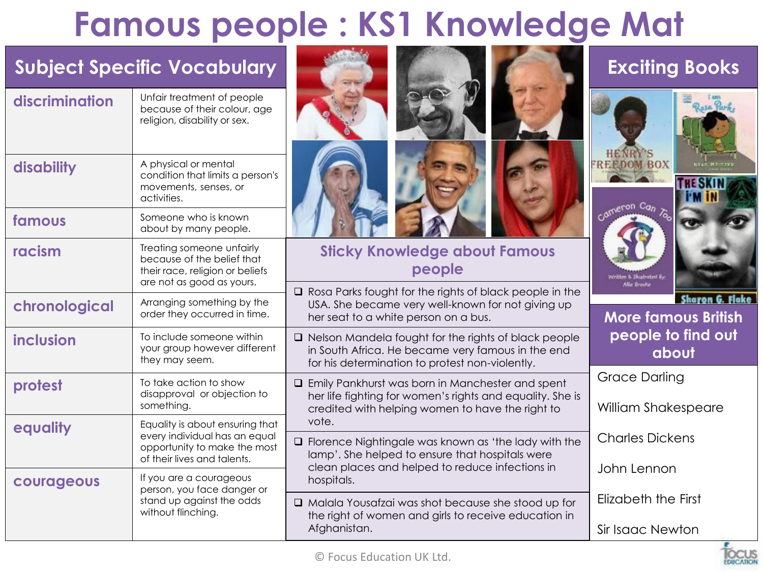### **Famous people : KS1 Knowledge Mat**

|                | <b>Subject Specific Vocabulary</b>                                                                                      |                                                                                                                                                                            | <b>Exciting Books</b>                                                |
|----------------|-------------------------------------------------------------------------------------------------------------------------|----------------------------------------------------------------------------------------------------------------------------------------------------------------------------|----------------------------------------------------------------------|
| discrimination | Unfair treatment of people<br>because of their colour, age<br>religion, disability or sex.                              |                                                                                                                                                                            | <b>HENR</b>                                                          |
| disability     | A physical or mental<br>condition that limits a person's<br>movements, senses, or<br>activities.                        |                                                                                                                                                                            | <b>FREEDOM BOX</b><br><b>HESKIN</b><br>Cameron Can                   |
| famous         | Someone who is known<br>about by many people.                                                                           |                                                                                                                                                                            |                                                                      |
| racism         | Treating someone unfairly<br>because of the belief that<br>their race, religion or beliefs<br>are not as good as yours. | <b>Sticky Knowledge about Famous</b><br>people                                                                                                                             | <b>Vritten &amp; Slustrated By</b>                                   |
| chronological  | Arranging something by the<br>order they occurred in time.                                                              | $\Box$ Rosa Parks fought for the rights of black people in the<br>USA. She became very well-known for not giving up<br>her seat to a white person on a bus.                | Allie Brooks<br><b>Sharon G. Flake</b><br><b>More famous British</b> |
| inclusion      | To include someone within<br>your group however different<br>they may seem.                                             | $\Box$ Nelson Mandela fought for the rights of black people<br>in South Africa. He became very famous in the end<br>for his determination to protest non-violently.        | people to find out<br>about                                          |
| protest        | To take action to show<br>disapproval or objection to<br>something.                                                     | <b>Q</b> Emily Pankhurst was born in Manchester and spent<br>her life fighting for women's rights and equality. She is<br>credited with helping women to have the right to | <b>Grace Darling</b><br>William Shakespeare                          |
| equality       | Equality is about ensuring that<br>every individual has an equal<br>opportunity to make the most                        | vote.<br>$\Box$ Florence Nightingale was known as 'the lady with the<br>lamp'. She helped to ensure that hospitals were                                                    | <b>Charles Dickens</b>                                               |
| courageous     | of their lives and talents.<br>If you are a courageous                                                                  | clean places and helped to reduce infections in<br>hospitals.                                                                                                              | John Lennon                                                          |
|                | person, you face danger or<br>stand up against the odds<br>without flinching.                                           | □ Malala Yousafzai was shot because she stood up for<br>the right of women and girls to receive education in                                                               | Elizabeth the First                                                  |
|                |                                                                                                                         | Afghanistan.                                                                                                                                                               | Sir Isaac Newton                                                     |

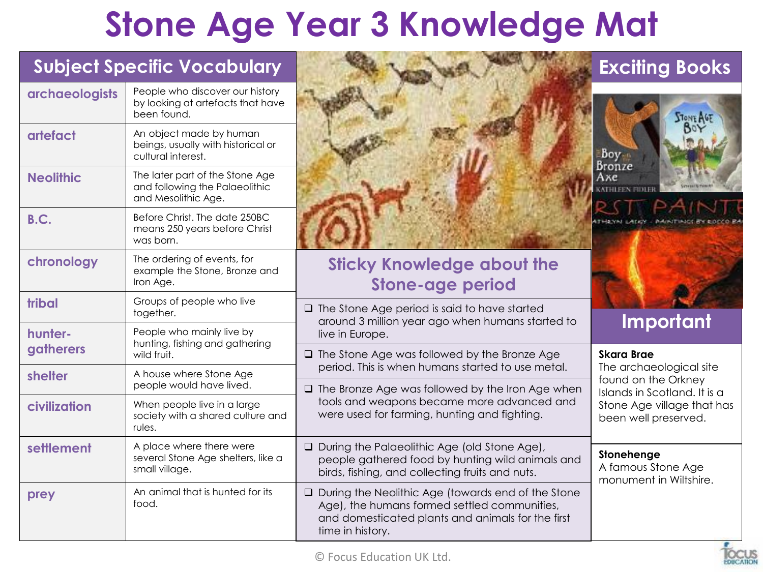### **Stone Age Year 3 Knowledge Mat**

| <b>Subject Specific Vocabulary</b> |                                                                                          |                                                                                                                                                                               | <b>Exciting Books</b>                                      |
|------------------------------------|------------------------------------------------------------------------------------------|-------------------------------------------------------------------------------------------------------------------------------------------------------------------------------|------------------------------------------------------------|
| <b>archaeologists</b>              | People who discover our history<br>by looking at artefacts that have<br>been found.      |                                                                                                                                                                               | <b>STONE AGE</b>                                           |
| artefact                           | An object made by human<br>beings, usually with historical or<br>cultural interest.      |                                                                                                                                                                               | Boy -<br>Bronze                                            |
| <b>Neolithic</b>                   | The later part of the Stone Age<br>and following the Palaeolithic<br>and Mesolithic Age. |                                                                                                                                                                               | Ахе                                                        |
| B.C.                               | Before Christ. The date 250BC<br>means 250 years before Christ<br>was born.              |                                                                                                                                                                               | <b>THAYN LADOR</b>                                         |
| chronology                         | The ordering of events, for<br>example the Stone, Bronze and<br>Iron Age.                | <b>Sticky Knowledge about the</b><br><b>Stone-age period</b>                                                                                                                  |                                                            |
| tribal                             | Groups of people who live<br>together.                                                   | $\Box$ The Stone Age period is said to have started<br>around 3 million year ago when humans started to                                                                       | Important                                                  |
| hunter-<br>gatherers               | People who mainly live by<br>hunting, fishing and gathering                              | live in Europe.                                                                                                                                                               |                                                            |
|                                    | wild fruit.<br>A house where Stone Age                                                   | $\Box$ The Stone Age was followed by the Bronze Age<br>period. This is when humans started to use metal.                                                                      | <b>Skara Brae</b><br>The archaeological site               |
| shelter                            | people would have lived.                                                                 | $\Box$ The Bronze Age was followed by the Iron Age when                                                                                                                       | found on the Orkney<br>Islands in Scotland. It is a        |
| civilization                       | When people live in a large<br>society with a shared culture and<br>rules.               | tools and weapons became more advanced and<br>were used for farming, hunting and fighting.                                                                                    | Stone Age village that has<br>been well preserved.         |
| settlement                         | A place where there were<br>several Stone Age shelters, like a<br>small village.         | □ During the Palaeolithic Age (old Stone Age),<br>people gathered food by hunting wild animals and<br>birds, fishing, and collecting fruits and nuts.                         | Stonehenge<br>A famous Stone Age<br>monument in Wiltshire. |
| prey                               | An animal that is hunted for its<br>food.                                                | □ During the Neolithic Age (towards end of the Stone<br>Age), the humans formed settled communities,<br>and domesticated plants and animals for the first<br>time in history. |                                                            |

**EDICATION**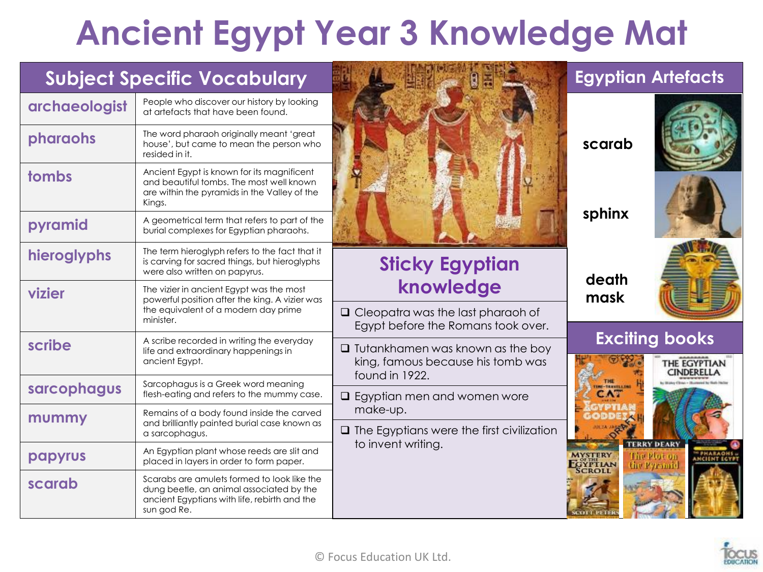## **Ancient Egypt Year 3 Knowledge Mat**

|               | <b>Subject Specific Vocabulary</b>                                                                                                                     |                                                                                | <b>Egyptian Artefacts</b>                                        |
|---------------|--------------------------------------------------------------------------------------------------------------------------------------------------------|--------------------------------------------------------------------------------|------------------------------------------------------------------|
| archaeologist | People who discover our history by looking<br>at artefacts that have been found.                                                                       |                                                                                |                                                                  |
| pharaohs      | The word pharaoh originally meant 'great<br>house', but came to mean the person who<br>resided in it.                                                  |                                                                                | scarab                                                           |
| tombs         | Ancient Egypt is known for its magnificent<br>and beautiful tombs. The most well known<br>are within the pyramids in the Valley of the<br>Kings.       |                                                                                |                                                                  |
| pyramid       | A geometrical term that refers to part of the<br>burial complexes for Egyptian pharaohs.                                                               |                                                                                | sphinx                                                           |
| hieroglyphs   | The term hieroglyph refers to the fact that it<br>is carving for sacred things, but hieroglyphs<br>were also written on papyrus.                       | <b>Sticky Egyptian</b>                                                         | death                                                            |
| vizier        | The vizier in ancient Egypt was the most<br>powerful position after the king. A vizier was                                                             | knowledge                                                                      | mask                                                             |
|               | the equivalent of a modern day prime<br>minister.                                                                                                      | $\Box$ Cleopatra was the last pharaoh of<br>Egypt before the Romans took over. |                                                                  |
| scribe        | A scribe recorded in writing the everyday<br>life and extraordinary happenings in<br>ancient Egypt.                                                    | $\Box$ Tutankhamen was known as the boy<br>king, famous because his tomb was   | <b>Exciting books</b><br>THE EGYPTIAN<br><b>CINDERELLA</b>       |
| sarcophagus   | Sarcophagus is a Greek word meaning<br>flesh-eating and refers to the mummy case.                                                                      | found in 1922.<br>$\Box$ Egyptian men and women wore                           | <b>M-TEAVELLING</b>                                              |
| mummy         | Remains of a body found inside the carved<br>and brilliantly painted burial case known as                                                              | make-up.                                                                       |                                                                  |
|               | a sarcophagus.                                                                                                                                         | $\Box$ The Egyptians were the first civilization<br>to invent writing.         | <b>TERRY DEARY</b>                                               |
| papyrus       | An Egyptian plant whose reeds are slit and<br>placed in layers in order to form paper.                                                                 |                                                                                | <b>MYSTERY</b><br><b>INCIENT ECYPT</b><br>GYPTIAN<br>the Pyramid |
| scarab        | Scarabs are amulets formed to look like the<br>dung beetle, an animal associated by the<br>ancient Egyptians with life, rebirth and the<br>sun god Re. |                                                                                |                                                                  |

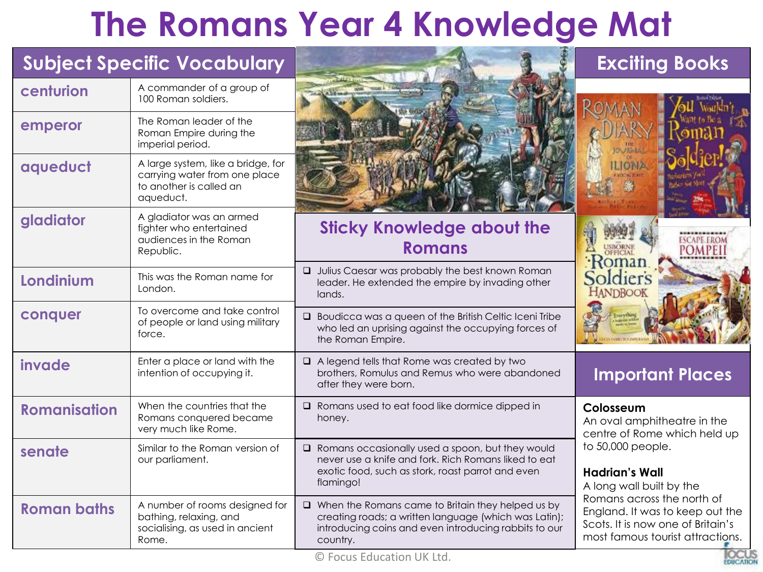### **The Romans Year 4 Knowledge Mat**

|                     | <b>Subject Specific Vocabulary</b>                                                                          |                                                                                                                                                                                        | <b>Exciting Books</b>                                                                                                                  |
|---------------------|-------------------------------------------------------------------------------------------------------------|----------------------------------------------------------------------------------------------------------------------------------------------------------------------------------------|----------------------------------------------------------------------------------------------------------------------------------------|
| centurion           | A commander of a group of<br>100 Roman soldiers.                                                            |                                                                                                                                                                                        |                                                                                                                                        |
| emperor             | The Roman leader of the<br>Roman Empire during the<br>imperial period.                                      |                                                                                                                                                                                        |                                                                                                                                        |
| aqueduct            | A large system, like a bridge, for<br>carrying water from one place<br>to another is called an<br>aqueduct. |                                                                                                                                                                                        | LIONA                                                                                                                                  |
| gladiator           | A gladiator was an armed<br>fighter who entertained<br>audiences in the Roman<br>Republic.                  | <b>Sticky Knowledge about the</b><br><b>Romans</b>                                                                                                                                     | <b>ESCAPE EROM</b><br><b>POMPEI</b>                                                                                                    |
| Londinium           | This was the Roman name for<br>London.                                                                      | <b>Q</b> Julius Caesar was probably the best known Roman<br>leader. He extended the empire by invading other<br>lands.                                                                 | <b>HANDBOOK</b>                                                                                                                        |
| conquer             | To overcome and take control<br>of people or land using military<br>force.                                  | $\Box$ Boudicca was a queen of the British Celtic Iceni Tribe<br>who led an uprising against the occupying forces of<br>the Roman Empire.                                              |                                                                                                                                        |
| invade              | Enter a place or land with the<br>intention of occupying it.                                                | $\Box$ A legend tells that Rome was created by two<br>brothers, Romulus and Remus who were abandoned<br>after they were born.                                                          | <b>Important Places</b>                                                                                                                |
| <b>Romanisation</b> | When the countries that the<br>Romans conquered became<br>very much like Rome.                              | $\Box$ Romans used to eat food like dormice dipped in<br>honey.                                                                                                                        | Colosseum<br>An oval amphitheatre in the<br>centre of Rome which held up                                                               |
| senate              | Similar to the Roman version of<br>our parliament.                                                          | $\Box$ Romans occasionally used a spoon, but they would<br>never use a knife and fork. Rich Romans liked to eat<br>exotic food, such as stork, roast parrot and even<br>flamingo!      | to 50,000 people.<br><b>Hadrian's Wall</b><br>A long wall built by the                                                                 |
| <b>Roman baths</b>  | A number of rooms designed for<br>bathing, relaxing, and<br>socialising, as used in ancient<br>Rome.        | $\Box$ When the Romans came to Britain they helped us by<br>creating roads; a written language (which was Latin);<br>introducing coins and even introducing rabbits to our<br>country. | Romans across the north of<br>England. It was to keep out the<br>Scots. It is now one of Britain's<br>most famous tourist attractions. |

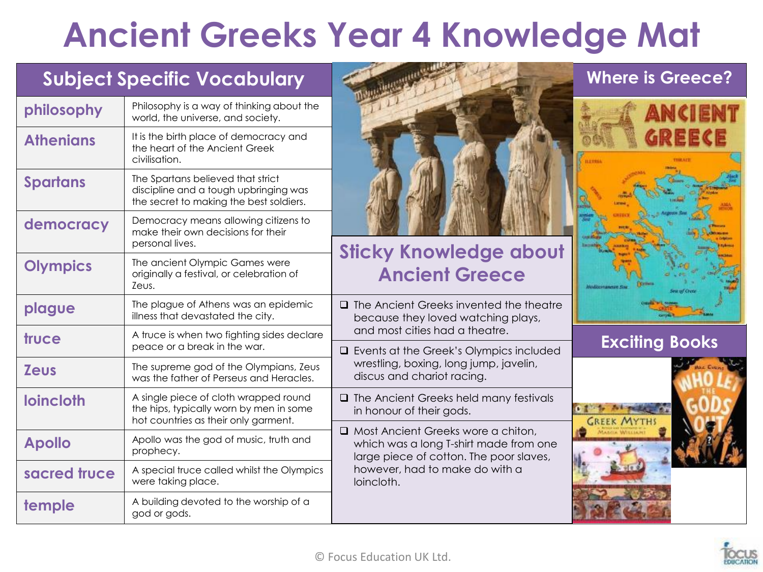### **Ancient Greeks Year 4 Knowledge Mat**

### **Subject Specific Vocabulary <b>Exerce** *Where is Greece?*

| philosophy       | Philosophy is a way of thinking about the<br>world, the universe, and society.                                           |
|------------------|--------------------------------------------------------------------------------------------------------------------------|
| <b>Athenians</b> | It is the birth place of democracy and<br>the heart of the Ancient Greek<br>civilisation.                                |
| <b>Spartans</b>  | The Spartans believed that strict<br>discipline and a tough upbringing was<br>the secret to making the best soldiers.    |
| democracy        | Democracy means allowing citizens to<br>make their own decisions for their<br>personal lives.                            |
| <b>Olympics</b>  | The ancient Olympic Games were<br>originally a festival, or celebration of<br>Zeus.                                      |
| plague           | The plague of Athens was an epidemic<br>illness that devastated the city.                                                |
| truce            | A truce is when two fighting sides declare<br>peace or a break in the war.                                               |
| <b>Zeus</b>      | The supreme god of the Olympians, Zeus<br>was the father of Perseus and Heracles.                                        |
| <b>loincloth</b> | A single piece of cloth wrapped round<br>the hips, typically worn by men in some<br>hot countries as their only garment. |
| <b>Apollo</b>    | Apollo was the god of music, truth and<br>prophecy.                                                                      |
| sacred truce     | A special truce called whilst the Olympics<br>were taking place.                                                         |
| temple           | A building devoted to the worship of a<br>god or gods.                                                                   |



### **Sticky Knowledge about Ancient Greece**

 $\Box$  The Ancient Greeks invented the theatre because they loved watching plays, and most cities had a theatre.

**Exciting Books Exciting Books** wrestling, boxing, long jump, javelin, discus and chariot racing.

 $\Box$  The Ancient Greeks held many festivals in honour of their gods.

□ Most Ancient Greeks wore a chiton, which was a long T-shirt made from one large piece of cotton. The poor slaves, however, had to make do with a loincloth.





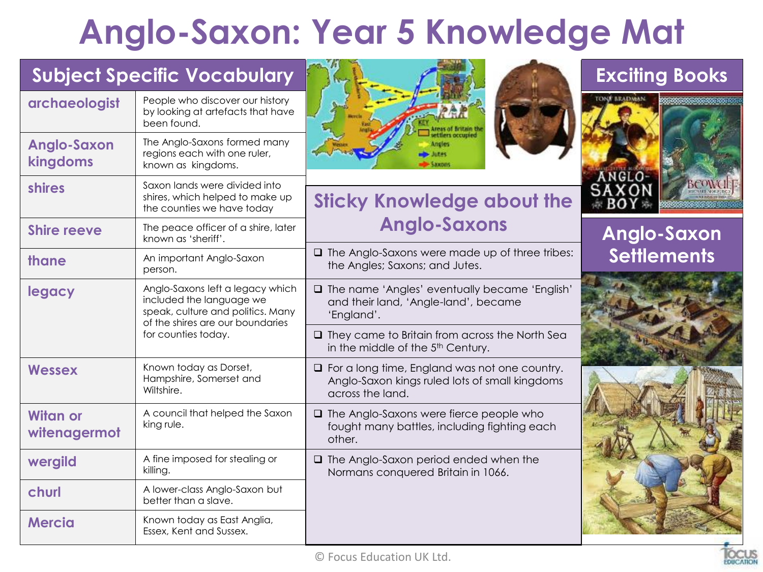## **Anglo-Saxon: Year 5 Knowledge Mat**

|                                 | <b>Subject Specific Vocabulary</b>                                                                                                    |                                                                                                                            | <b>Exciting Books</b> |
|---------------------------------|---------------------------------------------------------------------------------------------------------------------------------------|----------------------------------------------------------------------------------------------------------------------------|-----------------------|
| archaeologist                   | People who discover our history<br>by looking at artefacts that have<br>been found.                                                   |                                                                                                                            | <b>TONN SEADMAN</b>   |
| <b>Anglo-Saxon</b><br>kingdoms  | The Anglo-Saxons formed many<br>regions each with one ruler,<br>known as kingdoms.                                                    | ttlers occupied<br>Angles<br><b>AK00</b>                                                                                   |                       |
| <b>shires</b>                   | Saxon lands were divided into<br>shires, which helped to make up<br>the counties we have today                                        | <b>Sticky Knowledge about the</b>                                                                                          | ANGLO-<br>SAXON       |
| <b>Shire reeve</b>              | The peace officer of a shire, later<br>known as 'sheriff'.                                                                            | <b>Anglo-Saxons</b>                                                                                                        | <b>Anglo-Saxon</b>    |
| thane                           | An important Anglo-Saxon<br>person.                                                                                                   | $\Box$ The Anglo-Saxons were made up of three tribes:<br>the Angles; Saxons; and Jutes.                                    | <b>Settlements</b>    |
| legacy                          | Anglo-Saxons left a legacy which<br>included the language we<br>speak, culture and politics. Many<br>of the shires are our boundaries | □ The name 'Angles' eventually became 'English'<br>and their land, 'Angle-land', became<br>'England'.                      |                       |
|                                 | for counties today.                                                                                                                   | $\Box$ They came to Britain from across the North Sea<br>in the middle of the 5 <sup>th</sup> Century.                     |                       |
| <b>Wessex</b>                   | Known today as Dorset,<br>Hampshire, Somerset and<br>Wiltshire.                                                                       | $\Box$ For a long time, England was not one country.<br>Anglo-Saxon kings ruled lots of small kingdoms<br>across the land. |                       |
| <b>Witan or</b><br>witenagermot | A council that helped the Saxon<br>king rule.                                                                                         | $\Box$ The Anglo-Saxons were fierce people who<br>fought many battles, including fighting each<br>other.                   |                       |
| wergild                         | A fine imposed for stealing or<br>killing.                                                                                            | $\Box$ The Anglo-Saxon period ended when the<br>Normans conquered Britain in 1066.                                         |                       |
| churl                           | A lower-class Anglo-Saxon but<br>better than a slave.                                                                                 |                                                                                                                            |                       |
| <b>Mercia</b>                   | Known today as East Anglia,<br>Essex, Kent and Sussex.                                                                                |                                                                                                                            |                       |

**LOCUS**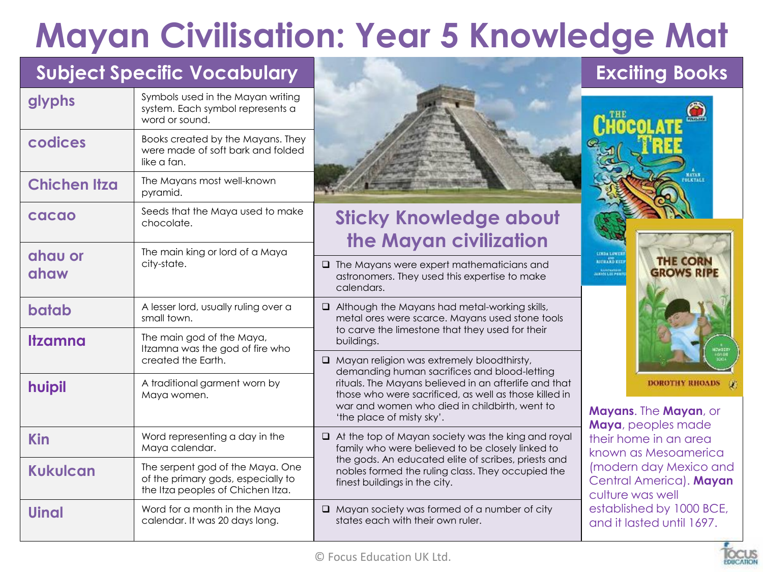# **Mayan Civilisation: Year 5 Knowledge Mat**

### **Subject Specific Vocabulary**

| glyphs              | Symbols used in the Mayan writing<br>system. Each symbol represents a<br>word or sound.                     |                                                                                                                                                                                                                                                                                                   |  |
|---------------------|-------------------------------------------------------------------------------------------------------------|---------------------------------------------------------------------------------------------------------------------------------------------------------------------------------------------------------------------------------------------------------------------------------------------------|--|
| codices             | Books created by the Mayans. They<br>were made of soft bark and folded<br>like a fan.                       |                                                                                                                                                                                                                                                                                                   |  |
| <b>Chichen Itza</b> | The Mayans most well-known<br>pyramid.                                                                      |                                                                                                                                                                                                                                                                                                   |  |
| cacao               | Seeds that the Maya used to make<br>chocolate.                                                              | <b>Sticky Knowledge about</b><br>the Mayan civilization                                                                                                                                                                                                                                           |  |
| ahau or<br>ahaw     | The main king or lord of a Maya<br>city-state.                                                              | $\Box$ The Mayans were expert mathematicians and<br>astronomers. They used this expertise to make<br>calendars.                                                                                                                                                                                   |  |
| batab               | A lesser lord, usually ruling over a<br>small town.                                                         | $\Box$ Although the Mayans had metal-working skills,<br>metal ores were scarce. Mayans used stone tools                                                                                                                                                                                           |  |
| <b>Itzamna</b>      | The main god of the Maya,<br>Itzamna was the god of fire who                                                | to carve the limestone that they used for their<br>buildings.                                                                                                                                                                                                                                     |  |
|                     | created the Earth.                                                                                          | $\Box$ Mayan religion was extremely bloodthirsty,<br>demanding human sacrifices and blood-letting<br>rituals. The Mayans believed in an afterlife and that<br>those who were sacrificed, as well as those killed in<br>war and women who died in childbirth, went to<br>'the place of misty sky'. |  |
| huipil              | A traditional garment worn by<br>Maya women.                                                                |                                                                                                                                                                                                                                                                                                   |  |
| <b>Kin</b>          | Word representing a day in the<br>Maya calendar.                                                            | $\Box$ At the top of Mayan society was the king and royal<br>family who were believed to be closely linked to                                                                                                                                                                                     |  |
| <b>Kukulcan</b>     | The serpent god of the Maya. One<br>of the primary gods, especially to<br>the Itza peoples of Chichen Itza. | the gods. An educated elite of scribes, priests and<br>nobles formed the ruling class. They occupied the<br>finest buildings in the city.                                                                                                                                                         |  |
| <b>Uinal</b>        | Word for a month in the Maya<br>calendar. It was 20 days long.                                              | Mayan society was formed of a number of city<br>states each with their own ruler.                                                                                                                                                                                                                 |  |



### **Exciting Books**



**Mayans**. The **Mayan**, or **Maya**, peoples made their home in an area known as Mesoamerica (modern day Mexico and Central America). **Mayan** culture was well established by 1000 BCE, and it lasted until 1697.

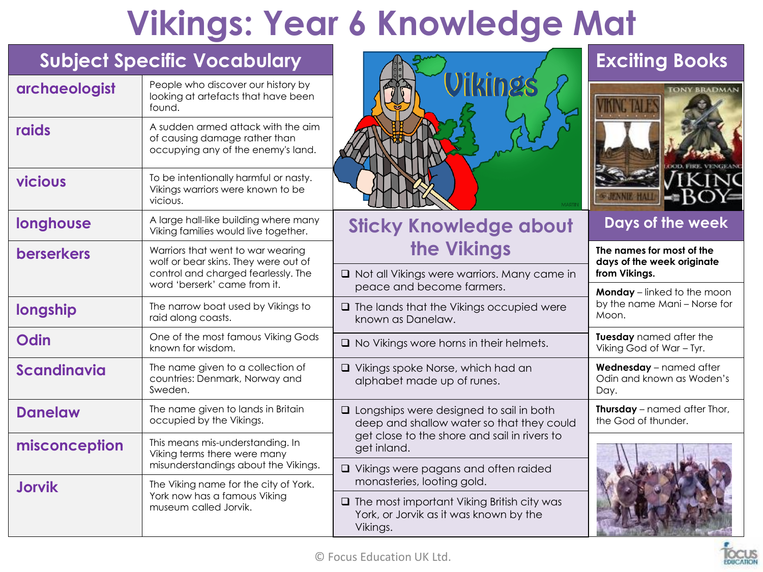## **Vikings: Year 6 Knowledge Mat**

| <b>Subject Specific Vocabulary</b> |                                                                                                           |                                                                                                         | <b>Exciting Books</b>                                                       |
|------------------------------------|-----------------------------------------------------------------------------------------------------------|---------------------------------------------------------------------------------------------------------|-----------------------------------------------------------------------------|
| archaeologist                      | People who discover our history by<br>looking at artefacts that have been<br>found.                       | Vikings                                                                                                 | <b>TONY BRADMAN</b>                                                         |
| raids                              | A sudden armed attack with the aim<br>of causing damage rather than<br>occupying any of the enemy's land. |                                                                                                         |                                                                             |
| vicious                            | To be intentionally harmful or nasty.<br>Vikings warriors were known to be<br>vicious.                    |                                                                                                         |                                                                             |
| longhouse                          | A large hall-like building where many<br>Viking families would live together.                             | <b>Sticky Knowledge about</b>                                                                           | Days of the week                                                            |
| <b>berserkers</b>                  | Warriors that went to war wearing<br>wolf or bear skins. They were out of                                 | the Vikings                                                                                             | The names for most of the<br>days of the week originate                     |
|                                    | control and charged fearlessly. The<br>word 'berserk' came from it.                                       | □ Not all Vikings were warriors. Many came in<br>peace and become farmers.                              | from Vikings.                                                               |
| longship                           | The narrow boat used by Vikings to<br>raid along coasts.                                                  | $\Box$ The lands that the Vikings occupied were<br>known as Danelaw.                                    | <b>Monday</b> – linked to the moon<br>by the name Mani - Norse for<br>Moon. |
| Odin                               | One of the most famous Viking Gods<br>known for wisdom.                                                   | $\Box$ No Vikings wore horns in their helmets.                                                          | Tuesday named after the<br>Viking God of War - Tyr.                         |
| <b>Scandinavia</b>                 | The name given to a collection of<br>countries: Denmark, Norway and<br>Sweden.                            | □ Vikings spoke Norse, which had an<br>alphabet made up of runes.                                       | Wednesday - named after<br>Odin and known as Woden's<br>Day.                |
| <b>Danelaw</b>                     | The name given to lands in Britain<br>occupied by the Vikings.                                            | $\Box$ Longships were designed to sail in both<br>deep and shallow water so that they could             | Thursday - named after Thor,<br>the God of thunder.                         |
| misconception                      | This means mis-understanding. In<br>Viking terms there were many                                          | get close to the shore and sail in rivers to<br>get inland.                                             |                                                                             |
|                                    | misunderstandings about the Vikings.                                                                      | $\Box$ Vikings were pagans and often raided<br>monasteries, looting gold.                               |                                                                             |
| <b>Jorvik</b>                      | The Viking name for the city of York.<br>York now has a famous Viking<br>museum called Jorvik.            | $\Box$ The most important Viking British city was<br>York, or Jorvik as it was known by the<br>Vikings. |                                                                             |